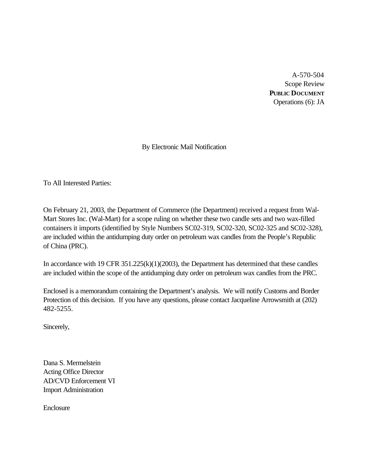A-570-504 Scope Review **PUBLIC DOCUMENT** Operations (6): JA

By Electronic Mail Notification

To All Interested Parties:

On February 21, 2003, the Department of Commerce (the Department) received a request from Wal-Mart Stores Inc. (Wal-Mart) for a scope ruling on whether these two candle sets and two wax-filled containers it imports (identified by Style Numbers SC02-319, SC02-320, SC02-325 and SC02-328), are included within the antidumping duty order on petroleum wax candles from the People's Republic of China (PRC).

In accordance with 19 CFR 351.225(k)(1)(2003), the Department has determined that these candles are included within the scope of the antidumping duty order on petroleum wax candles from the PRC.

Enclosed is a memorandum containing the Department's analysis. We will notify Customs and Border Protection of this decision. If you have any questions, please contact Jacqueline Arrowsmith at (202) 482-5255.

Sincerely,

Dana S. Mermelstein Acting Office Director AD/CVD Enforcement VI Import Administration

Enclosure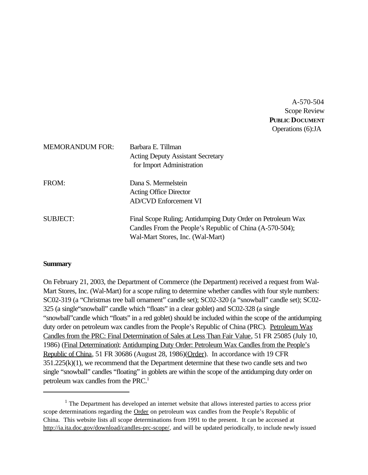A-570-504 Scope Review **PUBLIC DOCUMENT** Operations (6):JA

| <b>MEMORANDUM FOR:</b> | Barbara E. Tillman<br><b>Acting Deputy Assistant Secretary</b><br>for Import Administration                                                                 |
|------------------------|-------------------------------------------------------------------------------------------------------------------------------------------------------------|
| FROM:                  | Dana S. Mermelstein<br><b>Acting Office Director</b><br><b>AD/CVD Enforcement VI</b>                                                                        |
| <b>SUBJECT:</b>        | Final Scope Ruling; Antidumping Duty Order on Petroleum Wax<br>Candles From the People's Republic of China (A-570-504);<br>Wal-Mart Stores, Inc. (Wal-Mart) |

## **Summary**

On February 21, 2003, the Department of Commerce (the Department) received a request from Wal-Mart Stores, Inc. (Wal-Mart) for a scope ruling to determine whether candles with four style numbers: SC02-319 (a "Christmas tree ball ornament" candle set); SC02-320 (a "snowball" candle set); SC02- 325 (a single"snowball" candle which "floats" in a clear goblet) and SC02-328 (a single "snowball"candle which "floats" in a red goblet) should be included within the scope of the antidumping duty order on petroleum wax candles from the People's Republic of China (PRC). Petroleum Wax Candles from the PRC: Final Determination of Sales at Less Than Fair Value, 51 FR 25085 (July 10, 1986) (Final Determination); Antidumping Duty Order: Petroleum Wax Candles from the People's Republic of China, 51 FR 30686 (August 28, 1986)(Order). In accordance with 19 CFR  $351.225(k)(1)$ , we recommend that the Department determine that these two candle sets and two single "snowball" candles "floating" in goblets are within the scope of the antidumping duty order on petroleum wax candles from the PRC.<sup>1</sup>

 $<sup>1</sup>$  The Department has developed an internet website that allows interested parties to access prior</sup> scope determinations regarding the **Order** on petroleum wax candles from the People's Republic of China. This website lists all scope determinations from 1991 to the present. It can be accessed at http://ia.ita.doc.gov/download/candles-prc-scope/, and will be updated periodically, to include newly issued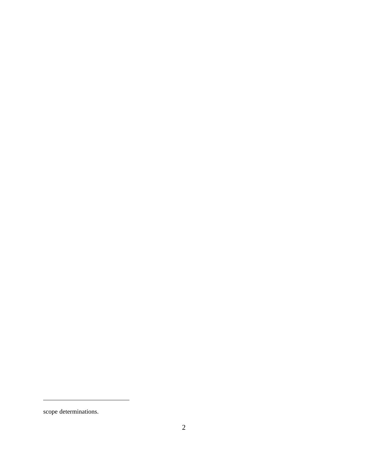scope determinations.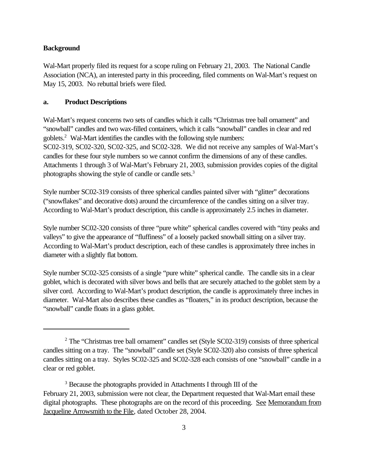## **Background**

Wal-Mart properly filed its request for a scope ruling on February 21, 2003. The National Candle Association (NCA), an interested party in this proceeding, filed comments on Wal-Mart's request on May 15, 2003. No rebuttal briefs were filed.

## **a. Product Descriptions**

Wal-Mart's request concerns two sets of candles which it calls "Christmas tree ball ornament" and "snowball" candles and two wax-filled containers, which it calls "snowball" candles in clear and red goblets.<sup>2</sup> Wal-Mart identifies the candles with the following style numbers: SC02-319, SC02-320, SC02-325, and SC02-328. We did not receive any samples of Wal-Mart's candles for these four style numbers so we cannot confirm the dimensions of any of these candles. Attachments 1 through 3 of Wal-Mart's February 21, 2003, submission provides copies of the digital photographs showing the style of candle or candle sets.<sup>3</sup>

Style number SC02-319 consists of three spherical candles painted silver with "glitter" decorations ("snowflakes" and decorative dots) around the circumference of the candles sitting on a silver tray. According to Wal-Mart's product description, this candle is approximately 2.5 inches in diameter.

Style number SC02-320 consists of three "pure white" spherical candles covered with "tiny peaks and valleys" to give the appearance of "fluffiness" of a loosely packed snowball sitting on a silver tray. According to Wal-Mart's product description, each of these candles is approximately three inches in diameter with a slightly flat bottom.

Style number SC02-325 consists of a single "pure white" spherical candle. The candle sits in a clear goblet, which is decorated with silver bows and bells that are securely attached to the goblet stem by a silver cord. According to Wal-Mart's product description, the candle is approximately three inches in diameter. Wal-Mart also describes these candles as "floaters," in its product description, because the "snowball" candle floats in a glass goblet.

<sup>&</sup>lt;sup>2</sup> The "Christmas tree ball ornament" candles set (Style SC02-319) consists of three spherical candles sitting on a tray. The "snowball" candle set (Style SC02-320) also consists of three spherical candles sitting on a tray. Styles SC02-325 and SC02-328 each consists of one "snowball" candle in a clear or red goblet.

<sup>&</sup>lt;sup>3</sup> Because the photographs provided in Attachments I through III of the February 21, 2003, submission were not clear, the Department requested that Wal-Mart email these digital photographs. These photographs are on the record of this proceeding. See Memorandum from Jacqueline Arrowsmith to the File, dated October 28, 2004.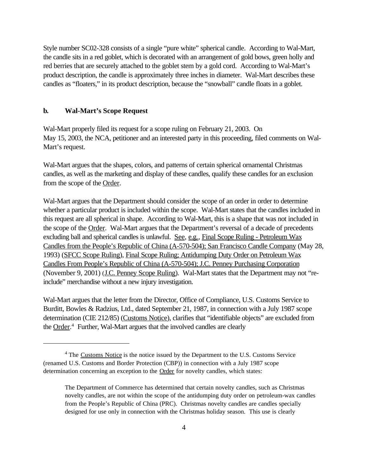Style number SC02-328 consists of a single "pure white" spherical candle. According to Wal-Mart, the candle sits in a red goblet, which is decorated with an arrangement of gold bows, green holly and red berries that are securely attached to the goblet stem by a gold cord. According to Wal-Mart's product description, the candle is approximately three inches in diameter. Wal-Mart describes these candles as "floaters," in its product description, because the "snowball" candle floats in a goblet.

#### **b. Wal-Mart's Scope Request**

Wal-Mart properly filed its request for a scope ruling on February 21, 2003. On May 15, 2003, the NCA, petitioner and an interested party in this proceeding, filed comments on Wal-Mart's request.

Wal-Mart argues that the shapes, colors, and patterns of certain spherical ornamental Christmas candles, as well as the marketing and display of these candles, qualify these candles for an exclusion from the scope of the Order.

Wal-Mart argues that the Department should consider the scope of an order in order to determine whether a particular product is included within the scope. Wal-Mart states that the candles included in this request are all spherical in shape. According to Wal-Mart, this is a shape that was not included in the scope of the Order. Wal-Mart argues that the Department's reversal of a decade of precedents excluding ball and spherical candles is unlawful. See, e.g., Final Scope Ruling - Petroleum Wax Candles from the People's Republic of China (A-570-504); San Francisco Candle Company (May 28, 1993) (SFCC Scope Ruling), Final Scope Ruling; Antidumping Duty Order on Petroleum Wax Candles From People's Republic of China (A-570-504); J.C. Penney Purchasing Corporation (November 9, 2001) (J.C. Penney Scope Ruling). Wal-Mart states that the Department may not "reinclude" merchandise without a new injury investigation.

Wal-Mart argues that the letter from the Director, Office of Compliance, U.S. Customs Service to Burditt, Bowles & Radzius, Ltd., dated September 21, 1987, in connection with a July 1987 scope determination (CIE 212/85) (Customs Notice), clarifies that "identifiable objects" are excluded from the **Order.**<sup>4</sup> Further, Wal-Mart argues that the involved candles are clearly

 $4$  The Customs Notice is the notice issued by the Department to the U.S. Customs Service (renamed U.S. Customs and Border Protection (CBP)) in connection with a July 1987 scope determination concerning an exception to the Order for novelty candles, which states:

The Department of Commerce has determined that certain novelty candles, such as Christmas novelty candles, are not within the scope of the antidumping duty order on petroleum-wax candles from the People's Republic of China (PRC). Christmas novelty candles are candles specially designed for use only in connection with the Christmas holiday season. This use is clearly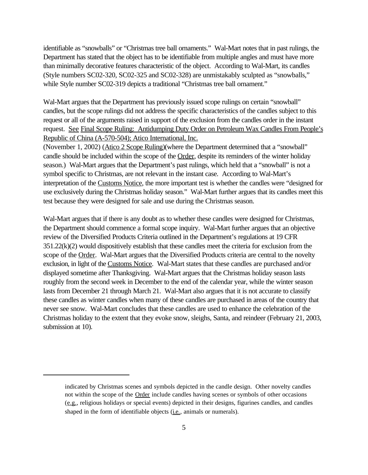identifiable as "snowballs" or "Christmas tree ball ornaments." Wal-Mart notes that in past rulings, the Department has stated that the object has to be identifiable from multiple angles and must have more than minimally decorative features characteristic of the object. According to Wal-Mart, its candles (Style numbers SC02-320, SC02-325 and SC02-328) are unmistakably sculpted as "snowballs," while Style number SC02-319 depicts a traditional "Christmas tree ball ornament."

Wal-Mart argues that the Department has previously issued scope rulings on certain "snowball" candles, but the scope rulings did not address the specific characteristics of the candles subject to this request or all of the arguments raised in support of the exclusion from the candles order in the instant request. See Final Scope Ruling: Antidumping Duty Order on Petroleum Wax Candles From People's Republic of China (A-570-504); Atico International, Inc.

(November 1, 2002) (Atico 2 Scope Ruling)(where the Department determined that a "snowball" candle should be included within the scope of the Order, despite its reminders of the winter holiday season.) Wal-Mart argues that the Department's past rulings, which held that a "snowball" is not a symbol specific to Christmas, are not relevant in the instant case. According to Wal-Mart's interpretation of the Customs Notice, the more important test is whether the candles were "designed for use exclusively during the Christmas holiday season." Wal-Mart further argues that its candles meet this test because they were designed for sale and use during the Christmas season.

Wal-Mart argues that if there is any doubt as to whether these candles were designed for Christmas, the Department should commence a formal scope inquiry. Wal-Mart further argues that an objective review of the Diversified Products Criteria outlined in the Department's regulations at 19 CFR 351.22(k)(2) would dispositively establish that these candles meet the criteria for exclusion from the scope of the Order. Wal-Mart argues that the Diversified Products criteria are central to the novelty exclusion, in light of the Customs Notice. Wal-Mart states that these candles are purchased and/or displayed sometime after Thanksgiving. Wal-Mart argues that the Christmas holiday season lasts roughly from the second week in December to the end of the calendar year, while the winter season lasts from December 21 through March 21. Wal-Mart also argues that it is not accurate to classify these candles as winter candles when many of these candles are purchased in areas of the country that never see snow. Wal-Mart concludes that these candles are used to enhance the celebration of the Christmas holiday to the extent that they evoke snow, sleighs, Santa, and reindeer (February 21, 2003, submission at 10).

indicated by Christmas scenes and symbols depicted in the candle design. Other novelty candles not within the scope of the **Order** include candles having scenes or symbols of other occasions (e.g., religious holidays or special events) depicted in their designs, figurines candles, and candles shaped in the form of identifiable objects (i.e., animals or numerals).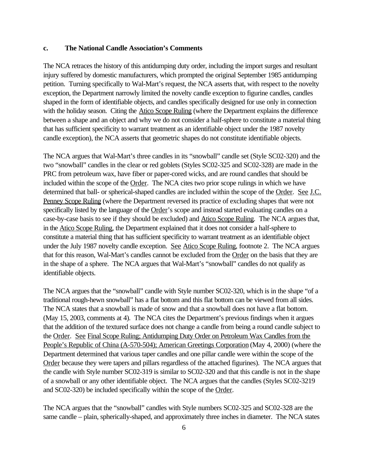#### **c. The National Candle Association's Comments**

The NCA retraces the history of this antidumping duty order, including the import surges and resultant injury suffered by domestic manufacturers, which prompted the original September 1985 antidumping petition. Turning specifically to Wal-Mart's request, the NCA asserts that, with respect to the novelty exception, the Department narrowly limited the novelty candle exception to figurine candles, candles shaped in the form of identifiable objects, and candles specifically designed for use only in connection with the holiday season. Citing the Atico Scope Ruling (where the Department explains the difference between a shape and an object and why we do not consider a half-sphere to constitute a material thing that has sufficient specificity to warrant treatment as an identifiable object under the 1987 novelty candle exception), the NCA asserts that geometric shapes do not constitute identifiable objects.

The NCA argues that Wal-Mart's three candles in its "snowball" candle set (Style SC02-320) and the two "snowball" candles in the clear or red goblets (Styles SC02-325 and SC02-328) are made in the PRC from petroleum wax, have fiber or paper-cored wicks, and are round candles that should be included within the scope of the Order. The NCA cites two prior scope rulings in which we have determined that ball- or spherical-shaped candles are included within the scope of the Order. See J.C. Penney Scope Ruling (where the Department reversed its practice of excluding shapes that were not specifically listed by the language of the Order's scope and instead started evaluating candles on a case-by-case basis to see if they should be excluded) and Atico Scope Ruling. The NCA argues that, in the Atico Scope Ruling, the Department explained that it does not consider a half-sphere to constitute a material thing that has sufficient specificity to warrant treatment as an identifiable object under the July 1987 novelty candle exception. See Atico Scope Ruling, footnote 2. The NCA argues that for this reason, Wal-Mart's candles cannot be excluded from the Order on the basis that they are in the shape of a sphere. The NCA argues that Wal-Mart's "snowball" candles do not qualify as identifiable objects.

The NCA argues that the "snowball" candle with Style number SC02-320, which is in the shape "of a traditional rough-hewn snowball" has a flat bottom and this flat bottom can be viewed from all sides. The NCA states that a snowball is made of snow and that a snowball does not have a flat bottom. (May 15, 2003, comments at 4). The NCA cites the Department's previous findings when it argues that the addition of the textured surface does not change a candle from being a round candle subject to the Order. See Final Scope Ruling; Antidumping Duty Order on Petroleum Wax Candles from the People's Republic of China (A-570-504); American Greetings Corporation (May 4, 2000) (where the Department determined that various taper candles and one pillar candle were within the scope of the Order because they were tapers and pillars regardless of the attached figurines). The NCA argues that the candle with Style number SC02-319 is similar to SC02-320 and that this candle is not in the shape of a snowball or any other identifiable object. The NCA argues that the candles (Styles SC02-3219 and SC02-320) be included specifically within the scope of the Order.

The NCA argues that the "snowball" candles with Style numbers SC02-325 and SC02-328 are the same candle – plain, spherically-shaped, and approximately three inches in diameter. The NCA states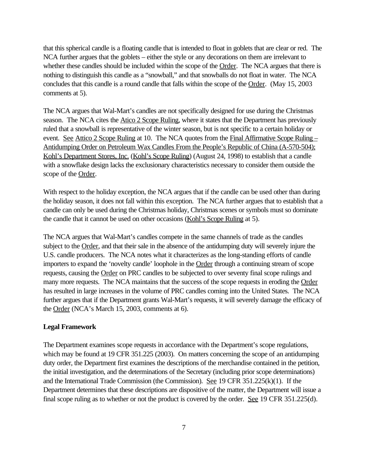that this spherical candle is a floating candle that is intended to float in goblets that are clear or red. The NCA further argues that the goblets – either the style or any decorations on them are irrelevant to whether these candles should be included within the scope of the Order. The NCA argues that there is nothing to distinguish this candle as a "snowball," and that snowballs do not float in water. The NCA concludes that this candle is a round candle that falls within the scope of the Order. (May 15, 2003 comments at 5).

The NCA argues that Wal-Mart's candles are not specifically designed for use during the Christmas season. The NCA cites the Atico 2 Scope Ruling, where it states that the Department has previously ruled that a snowball is representative of the winter season, but is not specific to a certain holiday or event. See Attico 2 Scope Ruling at 10. The NCA quotes from the Final Affirmative Scope Ruling – Antidumping Order on Petroleum Wax Candles From the People's Republic of China (A-570-504); Kohl's Department Stores, Inc. (Kohl's Scope Ruling) (August 24, 1998) to establish that a candle with a snowflake design lacks the exclusionary characteristics necessary to consider them outside the scope of the Order.

With respect to the holiday exception, the NCA argues that if the candle can be used other than during the holiday season, it does not fall within this exception. The NCA further argues that to establish that a candle can only be used during the Christmas holiday, Christmas scenes or symbols must so dominate the candle that it cannot be used on other occasions (Kohl's Scope Ruling at 5).

The NCA argues that Wal-Mart's candles compete in the same channels of trade as the candles subject to the Order, and that their sale in the absence of the antidumping duty will severely injure the U.S. candle producers. The NCA notes what it characterizes as the long-standing efforts of candle importers to expand the 'novelty candle' loophole in the Order through a continuing stream of scope requests, causing the Order on PRC candles to be subjected to over seventy final scope rulings and many more requests. The NCA maintains that the success of the scope requests in eroding the Order has resulted in large increases in the volume of PRC candles coming into the United States. The NCA further argues that if the Department grants Wal-Mart's requests, it will severely damage the efficacy of the Order (NCA's March 15, 2003, comments at 6).

## **Legal Framework**

The Department examines scope requests in accordance with the Department's scope regulations, which may be found at 19 CFR 351.225 (2003). On matters concerning the scope of an antidumping duty order, the Department first examines the descriptions of the merchandise contained in the petition, the initial investigation, and the determinations of the Secretary (including prior scope determinations) and the International Trade Commission (the Commission). See 19 CFR 351.225(k)(1). If the Department determines that these descriptions are dispositive of the matter, the Department will issue a final scope ruling as to whether or not the product is covered by the order. See 19 CFR 351.225(d).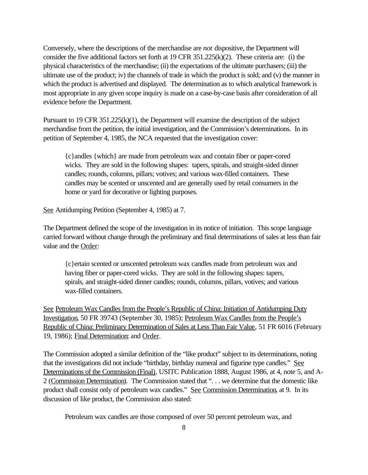Conversely, where the descriptions of the merchandise are *not* dispositive, the Department will consider the five additional factors set forth at 19 CFR 351.225(k)(2). These criteria are: (i) the physical characteristics of the merchandise; (ii) the expectations of the ultimate purchasers; (iii) the ultimate use of the product; iv) the channels of trade in which the product is sold; and (v) the manner in which the product is advertised and displayed. The determination as to which analytical framework is most appropriate in any given scope inquiry is made on a case-by-case basis after consideration of all evidence before the Department.

Pursuant to 19 CFR  $351.225(k)(1)$ , the Department will examine the description of the subject merchandise from the petition, the initial investigation, and the Commission's determinations. In its petition of September 4, 1985, the NCA requested that the investigation cover:

{c}andles {which} are made from petroleum wax and contain fiber or paper-cored wicks. They are sold in the following shapes: tapers, spirals, and straight-sided dinner candles; rounds, columns, pillars; votives; and various wax-filled containers. These candles may be scented or unscented and are generally used by retail consumers in the home or yard for decorative or lighting purposes.

See Antidumping Petition (September 4, 1985) at 7.

The Department defined the scope of the investigation in its notice of initiation. This scope language carried forward without change through the preliminary and final determinations of sales at less than fair value and the Order:

{c}ertain scented or unscented petroleum wax candles made from petroleum wax and having fiber or paper-cored wicks. They are sold in the following shapes: tapers, spirals, and straight-sided dinner candles; rounds, columns, pillars, votives; and various wax-filled containers.

See Petroleum Wax Candles from the People's Republic of China: Initiation of Antidumping Duty Investigation, 50 FR 39743 (September 30, 1985); Petroleum Wax Candles from the People's Republic of China: Preliminary Determination of Sales at Less Than Fair Value, 51 FR 6016 (February 19, 1986); Final Determination; and Order.

The Commission adopted a similar definition of the "like product" subject to its determinations, noting that the investigations did not include "birthday, birthday numeral and figurine type candles." See Determinations of the Commission (Final), USITC Publication 1888, August 1986, at 4, note 5, and A-2 (Commission Determination). The Commission stated that ". . . we determine that the domestic like product shall consist only of petroleum wax candles." See Commission Determination, at 9. In its discussion of like product, the Commission also stated:

Petroleum wax candles are those composed of over 50 percent petroleum wax, and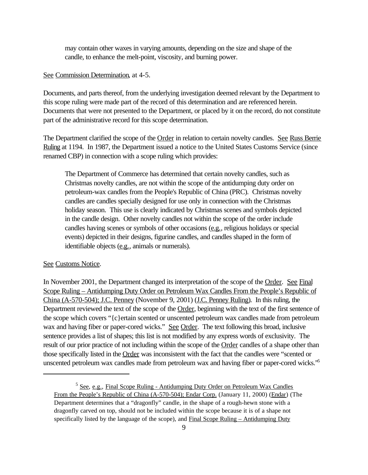may contain other waxes in varying amounts, depending on the size and shape of the candle, to enhance the melt-point, viscosity, and burning power.

### See Commission Determination, at 4-5.

Documents, and parts thereof, from the underlying investigation deemed relevant by the Department to this scope ruling were made part of the record of this determination and are referenced herein. Documents that were not presented to the Department, or placed by it on the record, do not constitute part of the administrative record for this scope determination.

The Department clarified the scope of the Order in relation to certain novelty candles. See Russ Berrie Ruling at 1194. In 1987, the Department issued a notice to the United States Customs Service (since renamed CBP) in connection with a scope ruling which provides:

The Department of Commerce has determined that certain novelty candles, such as Christmas novelty candles, are not within the scope of the antidumping duty order on petroleum-wax candles from the People's Republic of China (PRC). Christmas novelty candles are candles specially designed for use only in connection with the Christmas holiday season. This use is clearly indicated by Christmas scenes and symbols depicted in the candle design. Other novelty candles not within the scope of the order include candles having scenes or symbols of other occasions (e.g., religious holidays or special events) depicted in their designs, figurine candles, and candles shaped in the form of identifiable objects (e.g., animals or numerals).

#### See Customs Notice.

In November 2001, the Department changed its interpretation of the scope of the Order. See Final Scope Ruling – Antidumping Duty Order on Petroleum Wax Candles From the People's Republic of China (A-570-504); J.C. Penney (November 9, 2001) (J.C. Penney Ruling). In this ruling, the Department reviewed the text of the scope of the Order, beginning with the text of the first sentence of the scope which covers "{c}ertain scented or unscented petroleum wax candles made from petroleum wax and having fiber or paper-cored wicks." See Order. The text following this broad, inclusive sentence provides a list of shapes; this list is not modified by any express words of exclusivity. The result of our prior practice of not including within the scope of the Order candles of a shape other than those specifically listed in the Order was inconsistent with the fact that the candles were "scented or unscented petroleum wax candles made from petroleum wax and having fiber or paper-cored wicks."5

<sup>&</sup>lt;sup>5</sup> See, e.g., Final Scope Ruling - Antidumping Duty Order on Petroleum Wax Candles From the People's Republic of China (A-570-504); Endar Corp. (January 11, 2000) (Endar) (The Department determines that a "dragonfly" candle, in the shape of a rough-hewn stone with a dragonfly carved on top, should not be included within the scope because it is of a shape not specifically listed by the language of the scope), and Final Scope Ruling – Antidumping Duty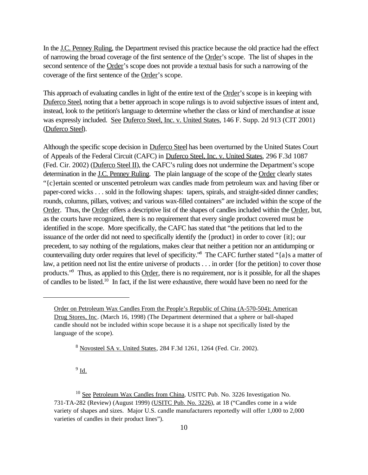In the J.C. Penney Ruling, the Department revised this practice because the old practice had the effect of narrowing the broad coverage of the first sentence of the Order's scope. The list of shapes in the second sentence of the Order's scope does not provide a textual basis for such a narrowing of the coverage of the first sentence of the Order's scope.

This approach of evaluating candles in light of the entire text of the Order's scope is in keeping with Duferco Steel, noting that a better approach in scope rulings is to avoid subjective issues of intent and, instead, look to the petition's language to determine whether the class or kind of merchandise at issue was expressly included. See Duferco Steel, Inc. v. United States, 146 F. Supp. 2d 913 (CIT 2001) (Duferco Steel).

Although the specific scope decision in Duferco Steel has been overturned by the United States Court of Appeals of the Federal Circuit (CAFC) in Duferco Steel, Inc. v. United States, 296 F.3d 1087 (Fed. Cir. 2002) (Duferco Steel II), the CAFC's ruling does not undermine the Department's scope determination in the J.C. Penney Ruling. The plain language of the scope of the Order clearly states "{c}ertain scented or unscented petroleum wax candles made from petroleum wax and having fiber or paper-cored wicks . . . sold in the following shapes: tapers, spirals, and straight-sided dinner candles; rounds, columns, pillars, votives; and various wax-filled containers" are included within the scope of the Order. Thus, the Order offers a descriptive list of the shapes of candles included within the Order, but, as the courts have recognized, there is no requirement that every single product covered must be identified in the scope. More specifically, the CAFC has stated that "the petitions that led to the issuance of the order did not need to specifically identify the {product} in order to cover {it}; our precedent, to say nothing of the regulations, makes clear that neither a petition nor an antidumping or countervailing duty order requires that level of specificity."<sup>8</sup> The CAFC further stated "{a}s a matter of law, a petition need not list the entire universe of products . . . in order {for the petition} to cover those products."<sup>9</sup> Thus, as applied to this Order, there is no requirement, nor is it possible, for all the shapes of candles to be listed.10 In fact, if the list were exhaustive, there would have been no need for the

 $^9$  <u>Id.</u>

Order on Petroleum Wax Candles From the People's Republic of China (A-570-504); American Drug Stores, Inc. (March 16, 1998) (The Department determined that a sphere or ball-shaped candle should not be included within scope because it is a shape not specifically listed by the language of the scope).

<sup>8</sup> Novosteel SA v. United States, 284 F.3d 1261, 1264 (Fed. Cir. 2002).

<sup>&</sup>lt;sup>10</sup> See Petroleum Wax Candles from China, USITC Pub. No. 3226 Investigation No. 731-TA-282 (Review) (August 1999) (USITC Pub. No. 3226), at 18 ("Candles come in a wide variety of shapes and sizes. Major U.S. candle manufacturers reportedly will offer 1,000 to 2,000 varieties of candles in their product lines").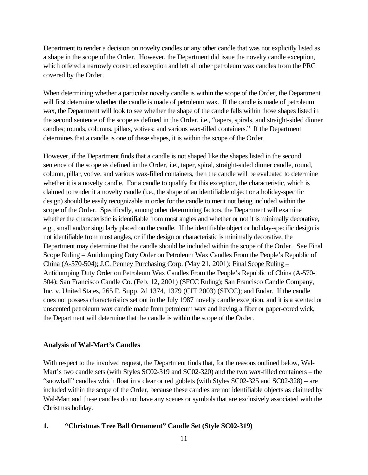Department to render a decision on novelty candles or any other candle that was not explicitly listed as a shape in the scope of the Order. However, the Department did issue the novelty candle exception, which offered a narrowly construed exception and left all other petroleum wax candles from the PRC covered by the Order.

When determining whether a particular novelty candle is within the scope of the Order, the Department will first determine whether the candle is made of petroleum wax. If the candle is made of petroleum wax, the Department will look to see whether the shape of the candle falls within those shapes listed in the second sentence of the scope as defined in the Order, *i.e.*, "tapers, spirals, and straight-sided dinner candles; rounds, columns, pillars, votives; and various wax-filled containers." If the Department determines that a candle is one of these shapes, it is within the scope of the Order.

However, if the Department finds that a candle is not shaped like the shapes listed in the second sentence of the scope as defined in the <u>Order, i.e.</u>, taper, spiral, straight-sided dinner candle, round, column, pillar, votive, and various wax-filled containers, then the candle will be evaluated to determine whether it is a novelty candle. For a candle to qualify for this exception, the characteristic, which is claimed to render it a novelty candle (i.e., the shape of an identifiable object or a holiday-specific design) should be easily recognizable in order for the candle to merit not being included within the scope of the Order. Specifically, among other determining factors, the Department will examine whether the characteristic is identifiable from most angles and whether or not it is minimally decorative, e.g., small and/or singularly placed on the candle. If the identifiable object or holiday-specific design is not identifiable from most angles, or if the design or characteristic is minimally decorative, the Department may determine that the candle should be included within the scope of the Order. See Final Scope Ruling – Antidumping Duty Order on Petroleum Wax Candles From the People's Republic of China (A-570-504); J.C. Penney Purchasing Corp. (May 21, 2001); Final Scope Ruling – Antidumping Duty Order on Petroleum Wax Candles From the People's Republic of China (A-570- 504); San Francisco Candle Co. (Feb. 12, 2001) (SFCC Ruling); San Francisco Candle Company, Inc. v. United States, 265 F. Supp. 2d 1374, 1379 (CIT 2003) (SFCC); and Endar. If the candle does not possess characteristics set out in the July 1987 novelty candle exception, and it is a scented or unscented petroleum wax candle made from petroleum wax and having a fiber or paper-cored wick, the Department will determine that the candle is within the scope of the Order.

#### **Analysis of Wal-Mart's Candles**

With respect to the involved request, the Department finds that, for the reasons outlined below, Wal-Mart's two candle sets (with Styles SC02-319 and SC02-320) and the two wax-filled containers – the "snowball" candles which float in a clear or red goblets (with Styles SC02-325 and SC02-328) – are included within the scope of the Order, because these candles are not identifiable objects as claimed by Wal-Mart and these candles do not have any scenes or symbols that are exclusively associated with the Christmas holiday.

## **1. "Christmas Tree Ball Ornament" Candle Set (Style SC02-319)**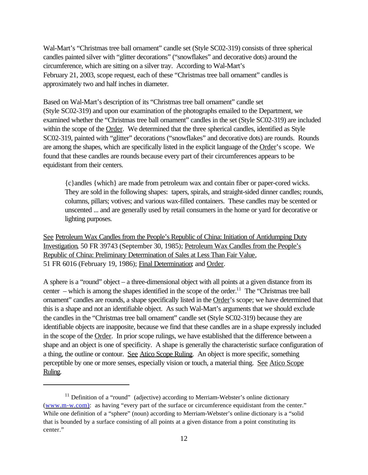Wal-Mart's "Christmas tree ball ornament" candle set (Style SC02-319) consists of three spherical candles painted silver with "glitter decorations" ("snowflakes" and decorative dots) around the circumference, which are sitting on a silver tray. According to Wal-Mart's February 21, 2003, scope request, each of these "Christmas tree ball ornament" candles is approximately two and half inches in diameter.

Based on Wal-Mart's description of its "Christmas tree ball ornament" candle set (Style SC02-319) and upon our examination of the photographs emailed to the Department, we examined whether the "Christmas tree ball ornament" candles in the set (Style SC02-319) are included within the scope of the Order. We determined that the three spherical candles, identified as Style SC02-319, painted with "glitter" decorations ("snowflakes" and decorative dots) are rounds. Rounds are among the shapes, which are specifically listed in the explicit language of the Order's scope. We found that these candles are rounds because every part of their circumferences appears to be equidistant from their centers.

{c}andles {which} are made from petroleum wax and contain fiber or paper-cored wicks. They are sold in the following shapes: tapers, spirals, and straight-sided dinner candles; rounds, columns, pillars; votives; and various wax-filled containers. These candles may be scented or unscented ... and are generally used by retail consumers in the home or yard for decorative or lighting purposes.

See Petroleum Wax Candles from the People's Republic of China: Initiation of Antidumping Duty Investigation, 50 FR 39743 (September 30, 1985); Petroleum Wax Candles from the People's Republic of China: Preliminary Determination of Sales at Less Than Fair Value, 51 FR 6016 (February 19, 1986); Final Determination; and Order.

A sphere is a "round" object – a three-dimensional object with all points at a given distance from its center – which is among the shapes identified in the scope of the order.<sup>11</sup> The "Christmas tree ball" ornament" candles are rounds, a shape specifically listed in the Order's scope; we have determined that this is a shape and not an identifiable object. As such Wal-Mart's arguments that we should exclude the candles in the "Christmas tree ball ornament" candle set (Style SC02-319) because they are identifiable objects are inapposite, because we find that these candles are in a shape expressly included in the scope of the Order. In prior scope rulings, we have established that the difference between a shape and an object is one of specificity. A shape is generally the characteristic surface configuration of a thing, the outline or contour. See Atico Scope Ruling. An object is more specific, something perceptible by one or more senses, especially vision or touch, a material thing. See Atico Scope Ruling.

 $11$  Definition of a "round" (adjective) according to Merriam-Webster's online dictionary (www.m-w.com): as having "every part of the surface or circumference equidistant from the center." While one definition of a "sphere" (noun) according to Merriam-Webster's online dictionary is a "solid that is bounded by a surface consisting of all points at a given distance from a point constituting its center."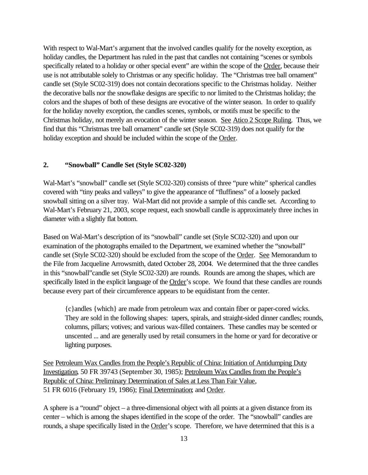With respect to Wal-Mart's argument that the involved candles qualify for the novelty exception, as holiday candles, the Department has ruled in the past that candles not containing "scenes or symbols specifically related to a holiday or other special event" are within the scope of the Order, because their use is not attributable solely to Christmas or any specific holiday. The "Christmas tree ball ornament" candle set (Style SC02-319) does not contain decorations specific to the Christmas holiday. Neither the decorative balls nor the snowflake designs are specific to nor limited to the Christmas holiday; the colors and the shapes of both of these designs are evocative of the winter season. In order to qualify for the holiday novelty exception, the candles scenes, symbols, or motifs must be specific to the Christmas holiday, not merely an evocation of the winter season. See Atico 2 Scope Ruling. Thus, we find that this "Christmas tree ball ornament" candle set (Style SC02-319) does not qualify for the holiday exception and should be included within the scope of the Order.

## **2. "Snowball" Candle Set (Style SC02-320)**

Wal-Mart's "snowball" candle set (Style SC02-320) consists of three "pure white" spherical candles covered with "tiny peaks and valleys" to give the appearance of "fluffiness" of a loosely packed snowball sitting on a silver tray. Wal-Mart did not provide a sample of this candle set. According to Wal-Mart's February 21, 2003, scope request, each snowball candle is approximately three inches in diameter with a slightly flat bottom.

Based on Wal-Mart's description of its "snowball" candle set (Style SC02-320) and upon our examination of the photographs emailed to the Department, we examined whether the "snowball" candle set (Style SC02-320) should be excluded from the scope of the Order. See Memorandum to the File from Jacqueline Arrowsmith, dated October 28, 2004. We determined that the three candles in this "snowball"candle set (Style SC02-320) are rounds. Rounds are among the shapes, which are specifically listed in the explicit language of the Order's scope. We found that these candles are rounds because every part of their circumference appears to be equidistant from the center.

{c}andles {which} are made from petroleum wax and contain fiber or paper-cored wicks. They are sold in the following shapes: tapers, spirals, and straight-sided dinner candles; rounds, columns, pillars; votives; and various wax-filled containers. These candles may be scented or unscented ... and are generally used by retail consumers in the home or yard for decorative or lighting purposes.

See Petroleum Wax Candles from the People's Republic of China: Initiation of Antidumping Duty Investigation, 50 FR 39743 (September 30, 1985); Petroleum Wax Candles from the People's Republic of China: Preliminary Determination of Sales at Less Than Fair Value, 51 FR 6016 (February 19, 1986); Final Determination; and Order.

A sphere is a "round" object – a three-dimensional object with all points at a given distance from its center – which is among the shapes identified in the scope of the order. The "snowball" candles are rounds, a shape specifically listed in the Order's scope. Therefore, we have determined that this is a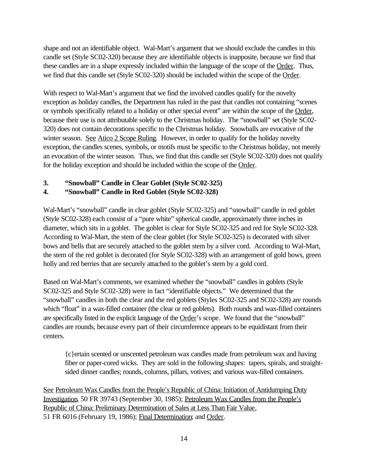shape and not an identifiable object. Wal-Mart's argument that we should exclude the candles in this candle set (Style SC02-320) because they are identifiable objects is inapposite, because we find that these candles are in a shape expressly included within the language of the scope of the Order. Thus, we find that this candle set (Style SC02-320) should be included within the scope of the Order.

With respect to Wal-Mart's argument that we find the involved candles qualify for the novelty exception as holiday candles, the Department has ruled in the past that candles not containing "scenes or symbols specifically related to a holiday or other special event" are within the scope of the Order, because their use is not attributable solely to the Christmas holiday. The "snowball" set (Style SC02- 320) does not contain decorations specific to the Christmas holiday. Snowballs are evocative of the winter season. See Atico 2 Scope Ruling. However, in order to qualify for the holiday novelty exception, the candles scenes, symbols, or motifs must be specific to the Christmas holiday, not merely an evocation of the winter season. Thus, we find that this candle set (Style SC02-320) does not qualify for the holiday exception and should be included within the scope of the Order.

# **3. "Snowball" Candle in Clear Goblet (Style SC02-325)**

# **4. "Snowball" Candle in Red Goblet (Style SC02-328)**

Wal-Mart's "snowball" candle in clear goblet (Style SC02-325) and "snowball" candle in red goblet (Style SC02-328) each consist of a "pure white" spherical candle, approximately three inches in diameter, which sits in a goblet. The goblet is clear for Style SC02-325 and red for Style SC02-328. According to Wal-Mart, the stem of the clear goblet (for Style SC02-325) is decorated with silver bows and bells that are securely attached to the goblet stem by a silver cord. According to Wal-Mart, the stem of the red goblet is decorated (for Style SC02-328) with an arrangement of gold bows, green holly and red berries that are securely attached to the goblet's stem by a gold cord.

Based on Wal-Mart's comments, we examined whether the "snowball" candles in goblets (Style SC02-325 and Style SC02-328) were in fact "identifiable objects." We determined that the "snowball" candles in both the clear and the red goblets (Styles SC02-325 and SC02-328) are rounds which "float" in a wax-filled container (the clear or red goblets). Both rounds and wax-filled containers are specifically listed in the explicit language of the Order's scope. We found that the "snowball" candles are rounds, because every part of their circumference appears to be equidistant from their centers.

{c}ertain scented or unscented petroleum wax candles made from petroleum wax and having fiber or paper-cored wicks. They are sold in the following shapes: tapers, spirals, and straightsided dinner candles; rounds, columns, pillars, votives; and various wax-filled containers.

See Petroleum Wax Candles from the People's Republic of China: Initiation of Antidumping Duty Investigation, 50 FR 39743 (September 30, 1985); Petroleum Wax Candles from the People's Republic of China: Preliminary Determination of Sales at Less Than Fair Value, 51 FR 6016 (February 19, 1986); Final Determination; and Order.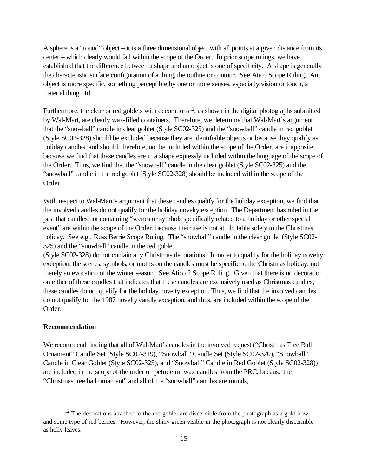A sphere is a "round" object – it is a three dimensional object with all points at a given distance from its center – which clearly would fall within the scope of the Order. In prior scope rulings, we have established that the difference between a shape and an object is one of specificity. A shape is generally the characteristic surface configuration of a thing, the outline or contour. See Atico Scope Ruling. An object is more specific, something perceptible by one or more senses, especially vision or touch, a material thing. Id.

Furthermore, the clear or red goblets with decorations<sup>12</sup>, as shown in the digital photographs submitted by Wal-Mart, are clearly wax-filled containers. Therefore, we determine that Wal-Mart's argument that the "snowball" candle in clear goblet (Style SC02-325) and the "snowball" candle in red goblet (Style SC02-328) should be excluded because they are identifiable objects or because they qualify as holiday candles, and should, therefore, not be included within the scope of the Order, are inapposite because we find that these candles are in a shape expressly included within the language of the scope of the Order. Thus, we find that the "snowball" candle in the clear goblet (Style SC02-325) and the "snowball" candle in the red goblet (Style SC02-328) should be included within the scope of the Order.

With respect to Wal-Mart's argument that these candles qualify for the holiday exception, we find that the involved candles do not qualify for the holiday novelty exception. The Department has ruled in the past that candles not containing "scenes or symbols specifically related to a holiday or other special event" are within the scope of the Order, because their use is not attributable solely to the Christmas holiday. See e.g., Russ Berrie Scope Ruling. The "snowball" candle in the clear goblet (Style SC02-325) and the "snowball" candle in the red goblet

(Style SC02-328) do not contain any Christmas decorations. In order to qualify for the holiday novelty exception, the scenes, symbols, or motifs on the candles must be specific to the Christmas holiday, not merely an evocation of the winter season. See Atico 2 Scope Ruling. Given that there is no decoration on either of these candles that indicates that these candles are exclusively used as Christmas candles, these candles do not qualify for the holiday novelty exception. Thus, we find that the involved candles do not qualify for the 1987 novelty candle exception, and thus, are included within the scope of the Order.

## **Recommendation**

We recommend finding that all of Wal-Mart's candles in the involved request ("Christmas Tree Ball Ornament" Candle Set (Style SC02-319), "Snowball" Candle Set (Style SC02-320), "Snowball" Candle in Clear Goblet (Style SC02-325), and "Snowball" Candle in Red Goblet (Style SC02-328)) are included in the scope of the order on petroleum wax candles from the PRC, because the "Christmas tree ball ornament" and all of the "snowball" candles are rounds,

 $12$  The decorations attached to the red goblet are discernible from the photograph as a gold bow and some type of red berries. However, the shiny green visible in the photograph is not clearly discernible as holly leaves.